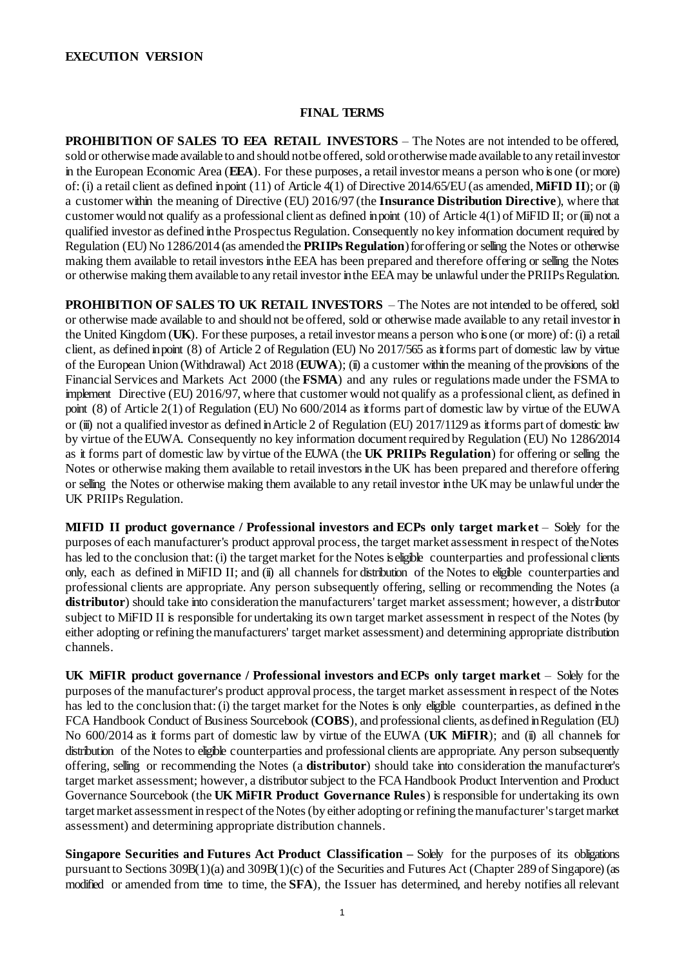#### **FINAL TERMS**

**PROHIBITION OF SALES TO EEA RETAIL INVESTORS – The Notes are not intended to be offered,** sold or otherwise made available to and should not be offered, sold or otherwise made available to any retail investor in the European Economic Area (**EEA**). For these purposes, a retail investor means a person who is one (or more) of: (i) a retail client as defined in point (11) of Article 4(1) of Directive 2014/65/EU (as amended, **MiFID II**); or (ii) a customer within the meaning of Directive (EU) 2016/97 (the **Insurance Distribution Directive**), where that customer would not qualify as a professional client as defined in point  $(10)$  of Article  $4(1)$  of MiFID II; or (iii) not a qualified investor as defined in the Prospectus Regulation. Consequently no key information document required by Regulation (EU) No 1286/2014 (as amended the **PRIIPs Regulation**) for offering or selling the Notes or otherwise making them available to retail investors in the EEA has been prepared and therefore offering or selling the Notes or otherwise making them available to any retail investor in the EEA may be unlawful under the PRIIPs Regulation.

**PROHIBITION OF SALES TO UK RETAIL INVESTORS** – The Notes are not intended to be offered, sold or otherwise made available to and should not be offered, sold or otherwise made available to any retail investor in the United Kingdom (**UK**). For these purposes, a retail investor means a person who is one (or more) of: (i) a retail client, as defined in point (8) of Article 2 of Regulation (EU) No 2017/565 as it forms part of domestic law by virtue of the European Union (Withdrawal) Act 2018 (**EUWA**); (ii) a customer within the meaning of the provisions of the Financial Services and Markets Act 2000 (the **FSMA**) and any rules or regulations made under the FSMA to implement Directive (EU) 2016/97, where that customer would not qualify as a professional client, as defined in point (8) of Article 2(1) of Regulation (EU) No 600/2014 as itforms part of domestic law by virtue of the EUWA or (iii) not a qualified investor as defined in Article 2 of Regulation (EU) 2017/1129 as it forms part of domestic law by virtue of the EUWA. Consequently no key information document required by Regulation (EU) No 1286/2014 as it forms part of domestic law by virtue of the EUWA (the **UK PRIIPs Regulation**) for offering or selling the Notes or otherwise making them available to retail investors in the UK has been prepared and therefore offering or selling the Notes or otherwise making them available to any retail investor in the UK may be unlawful under the UK PRIIPs Regulation.

**MIFID II product governance / Professional investors and ECPs only target market – Solely for the** purposes of each manufacturer's product approval process, the target market assessment in respect of the Notes has led to the conclusion that: (i) the target market for the Notes is eligible counterparties and professional clients only, each as defined in MiFID II; and (ii) all channels for distribution of the Notes to eligible counterparties and professional clients are appropriate. Any person subsequently offering, selling or recommending the Notes (a **distributor**) should take into consideration the manufacturers' target market assessment; however, a distributor subject to MiFID II is responsible for undertaking its own target market assessment in respect of the Notes (by either adopting or refining the manufacturers' target market assessment) and determining appropriate distribution channels.

**UK MiFIR product governance / Professional investors and ECPs only target market – Solely for the** purposes of the manufacturer's product approval process, the target market assessment in respect of the Notes has led to the conclusion that: (i) the target market for the Notes is only eligible counterparties, as defined in the FCA Handbook Conduct of Business Sourcebook (**COBS**), and professional clients, as defined in Regulation (EU) No 600/2014 as it forms part of domestic law by virtue of the EUWA (UK MiFIR); and (ii) all channels for distribution of the Notes to eligible counterparties and professional clients are appropriate. Any person subsequently offering, selling or recommending the Notes (a **distributor**) should take into consideration the manufacturer's target market assessment; however, a distributor subject to the FCA Handbook Product Intervention and Product Governance Sourcebook (the **UK MiFIR Product Governance Rules**) isresponsible for undertaking its own target market assessment in respect of the Notes (by either adopting or refining the manufacturer's target market assessment) and determining appropriate distribution channels.

**Singapore Securities and Futures Act Product Classification – Solely for the purposes of its obligations** pursuant to Sections 309B(1)(a) and 309B(1)(c) of the Securities and Futures Act (Chapter 289 of Singapore) (as modified or amended from time to time, the **SFA**), the Issuer has determined, and hereby notifies all relevant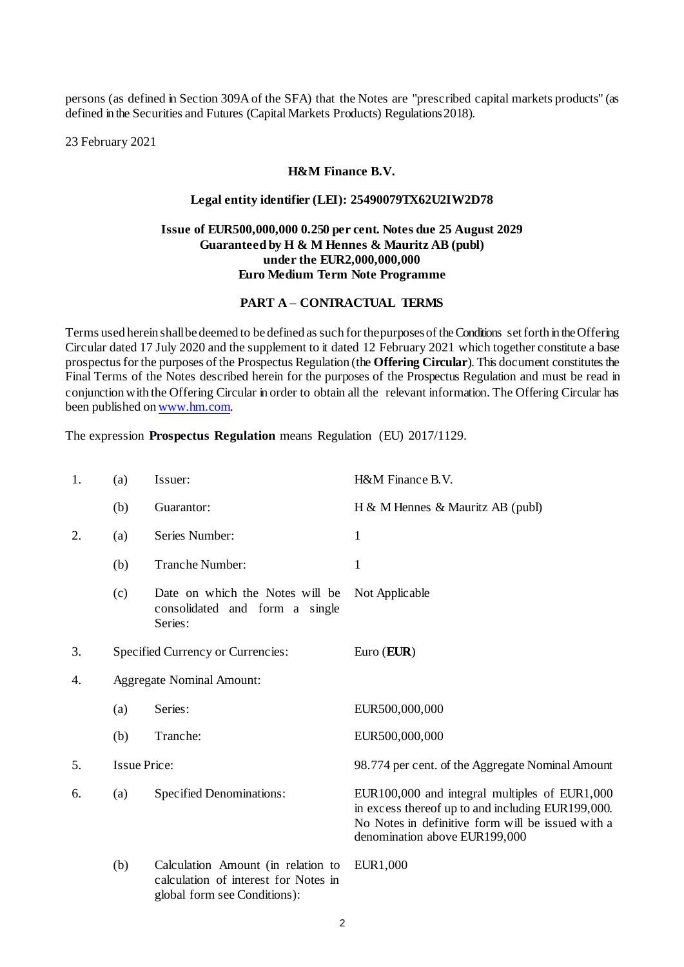persons (as defined in Section 309A of the SFA) that the Notes are "prescribed capital markets products" (as defined in the Securities and Futures (Capital Markets Products) Regulations2018).

23 February 2021

#### **H&M Finance B.V.**

#### **Legal entity identifier (LEI): 25490079TX62U2IW2D78**

## **Issue of EUR500,000,000 0.250 per cent. Notes due 25 August 2029 Guaranteed by H & M Hennes & Mauritz AB (publ) under the EUR2,000,000,000 Euro Medium Term Note Programme**

#### **PART A – CONTRACTUAL TERMS**

Terms used herein shall be deemed to be defined as such for the purposes of the Conditions set forth in the Offering Circular dated 17 July 2020 and the supplement to it dated 12 February 2021 which together constitute a base prospectus for the purposes of the Prospectus Regulation (the **Offering Circular**). This document constitutes the Final Terms of the Notes described herein for the purposes of the Prospectus Regulation and must be read in conjunction with the Offering Circular in order to obtain all the relevant information. The Offering Circular has been published o[nwww.hm.com](http://www.hm.com/).

The expression **Prospectus Regulation** means Regulation (EU) 2017/1129.

| 1. | (a)                              | Issuer:                                                                                                    | H&M Finance B.V.                                                                                                                                                                         |
|----|----------------------------------|------------------------------------------------------------------------------------------------------------|------------------------------------------------------------------------------------------------------------------------------------------------------------------------------------------|
|    | (b)                              | Guarantor:                                                                                                 | H & M Hennes & Mauritz AB (publ)                                                                                                                                                         |
| 2. | (a)                              | Series Number:                                                                                             | $\mathbf{1}$                                                                                                                                                                             |
|    | (b)                              | <b>Tranche Number:</b>                                                                                     | $\mathbf{1}$                                                                                                                                                                             |
|    | (c)                              | Date on which the Notes will be<br>consolidated and form a single<br>Series:                               | Not Applicable                                                                                                                                                                           |
| 3. |                                  | Specified Currency or Currencies:                                                                          | Euro $(EUR)$                                                                                                                                                                             |
| 4. | <b>Aggregate Nominal Amount:</b> |                                                                                                            |                                                                                                                                                                                          |
|    | (a)                              | Series:                                                                                                    | EUR500,000,000                                                                                                                                                                           |
|    | (b)                              | Tranche:                                                                                                   | EUR500,000,000                                                                                                                                                                           |
| 5. | <b>Issue Price:</b>              |                                                                                                            | 98.774 per cent. of the Aggregate Nominal Amount                                                                                                                                         |
| 6. | (a)                              | <b>Specified Denominations:</b>                                                                            | EUR100,000 and integral multiples of EUR1,000<br>in excess thereof up to and including EUR199,000.<br>No Notes in definitive form will be issued with a<br>denomination above EUR199,000 |
|    | (b)                              | Calculation Amount (in relation to<br>calculation of interest for Notes in<br>global form see Conditions): | EUR1,000                                                                                                                                                                                 |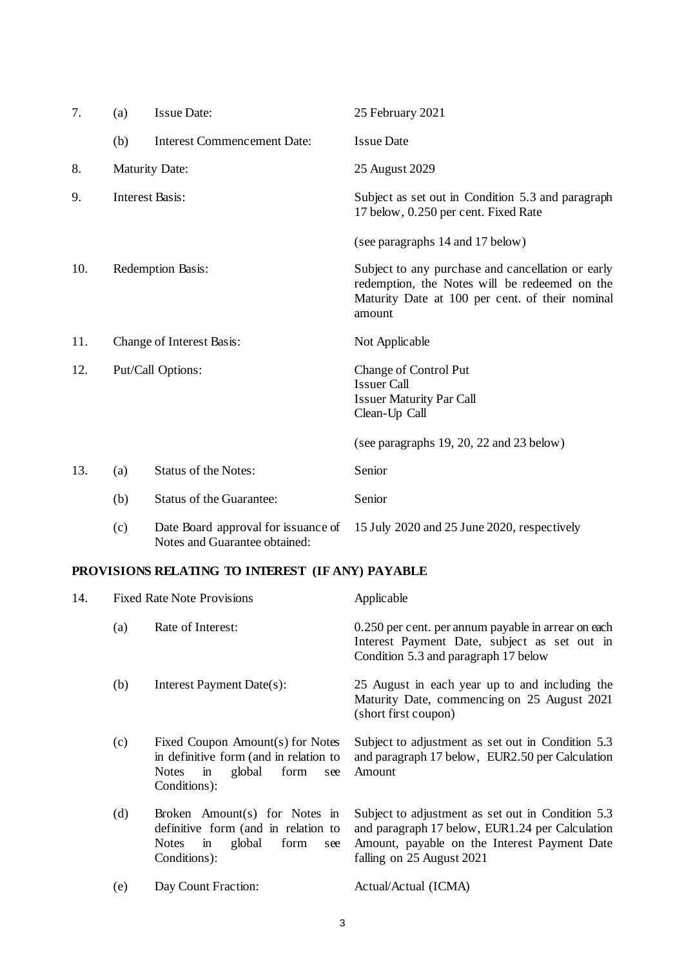| 7.  | (a)               | <b>Issue Date:</b>                                                   | 25 February 2021                                                                                                                                                |  |
|-----|-------------------|----------------------------------------------------------------------|-----------------------------------------------------------------------------------------------------------------------------------------------------------------|--|
|     | (b)               | <b>Interest Commencement Date:</b>                                   | <b>Issue Date</b>                                                                                                                                               |  |
| 8.  |                   | <b>Maturity Date:</b>                                                | 25 August 2029                                                                                                                                                  |  |
| 9.  |                   | <b>Interest Basis:</b>                                               | Subject as set out in Condition 5.3 and paragraph<br>17 below, 0.250 per cent. Fixed Rate                                                                       |  |
|     |                   |                                                                      | (see paragraphs 14 and 17 below)                                                                                                                                |  |
| 10. | Redemption Basis: |                                                                      | Subject to any purchase and cancellation or early<br>redemption, the Notes will be redeemed on the<br>Maturity Date at 100 per cent. of their nominal<br>amount |  |
| 11. |                   | Change of Interest Basis:                                            | Not Applicable                                                                                                                                                  |  |
| 12. | Put/Call Options: |                                                                      | <b>Change of Control Put</b><br><b>Issuer Call</b><br><b>Issuer Maturity Par Call</b><br>Clean-Up Call                                                          |  |
|     |                   |                                                                      | (see paragraphs $19, 20, 22$ and $23$ below)                                                                                                                    |  |
| 13. | (a)               | <b>Status of the Notes:</b>                                          | Senior                                                                                                                                                          |  |
|     | (b)               | <b>Status of the Guarantee:</b>                                      | Senior                                                                                                                                                          |  |
|     | (c)               | Date Board approval for issuance of<br>Notes and Guarantee obtained: | 15 July 2020 and 25 June 2020, respectively                                                                                                                     |  |

# <span id="page-2-0"></span>**PROVISIONS RELATING TO INTEREST (IF ANY) PAYABLE**

| 14. |     | <b>Fixed Rate Note Provisions</b>                                                                                                                     | Applicable                                                                                                                                                                        |
|-----|-----|-------------------------------------------------------------------------------------------------------------------------------------------------------|-----------------------------------------------------------------------------------------------------------------------------------------------------------------------------------|
|     | (a) | Rate of Interest:                                                                                                                                     | 0.250 per cent. per annum payable in arrear on each<br>Interest Payment Date, subject as set out in<br>Condition 5.3 and paragraph 17 below                                       |
|     | (b) | Interest Payment Date(s):                                                                                                                             | 25 August in each year up to and including the<br>Maturity Date, commencing on 25 August 2021<br>(short first coupon)                                                             |
|     | (c) | Fixed Coupon Amount(s) for Notes<br>in definitive form (and in relation to<br>global<br><b>Notes</b><br>form<br>$\overline{m}$<br>see<br>Conditions): | Subject to adjustment as set out in Condition 5.3<br>and paragraph 17 below, EUR2.50 per Calculation<br>Amount                                                                    |
|     | (d) | Broken Amount(s) for Notes in<br>definitive form (and in relation to<br>global<br>form<br><b>Notes</b><br>$\mathbf{m}$<br>see<br>Conditions):         | Subject to adjustment as set out in Condition 5.3<br>and paragraph 17 below, EUR1.24 per Calculation<br>Amount, payable on the Interest Payment Date<br>falling on 25 August 2021 |
|     | (e) | Day Count Fraction:                                                                                                                                   | Actual/Actual (ICMA)                                                                                                                                                              |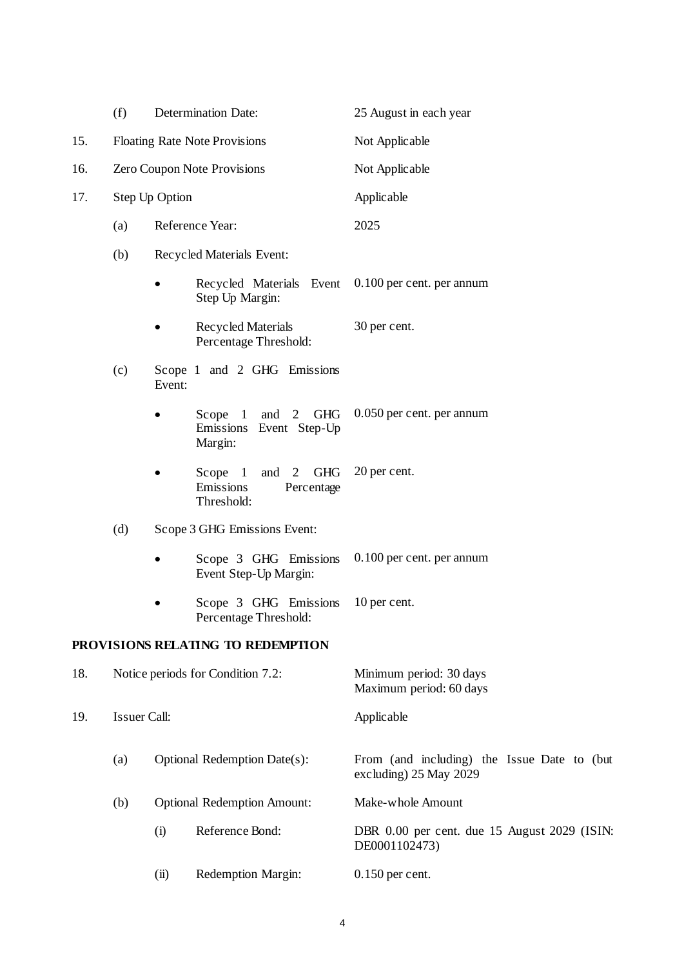|     | (f)                                       | <b>Determination Date:</b>           |                                                                          | 25 August in each year                                                |  |
|-----|-------------------------------------------|--------------------------------------|--------------------------------------------------------------------------|-----------------------------------------------------------------------|--|
| 15. |                                           | <b>Floating Rate Note Provisions</b> |                                                                          | Not Applicable                                                        |  |
| 16. |                                           | Zero Coupon Note Provisions          |                                                                          | Not Applicable                                                        |  |
| 17. |                                           | Step Up Option                       |                                                                          | Applicable                                                            |  |
|     | (a)                                       | Reference Year:                      |                                                                          | 2025                                                                  |  |
|     | (b)                                       | Recycled Materials Event:            |                                                                          |                                                                       |  |
|     |                                           |                                      | Recycled Materials Event<br>Step Up Margin:                              | 0.100 per cent. per annum                                             |  |
|     |                                           |                                      | Recycled Materials<br>Percentage Threshold:                              | 30 per cent.                                                          |  |
|     | (c)                                       | Event:                               | Scope 1 and 2 GHG Emissions                                              |                                                                       |  |
|     |                                           |                                      | and 2 GHG<br>Scope<br>$\mathbf{1}$<br>Emissions Event Step-Up<br>Margin: | 0.050 per cent. per annum                                             |  |
|     |                                           |                                      | and 2 GHG<br>Scope $1$<br>Emissions<br>Percentage<br>Threshold:          | 20 per cent.                                                          |  |
|     | (d)                                       | Scope 3 GHG Emissions Event:         |                                                                          |                                                                       |  |
|     |                                           |                                      | Scope 3 GHG Emissions<br>Event Step-Up Margin:                           | 0.100 per cent. per annum                                             |  |
|     |                                           |                                      | Scope 3 GHG Emissions<br>Percentage Threshold:                           | 10 per cent.                                                          |  |
|     |                                           |                                      | PROVISIONS RELATING TO REDEMPTION                                        |                                                                       |  |
| 18. |                                           | Notice periods for Condition 7.2:    |                                                                          | Minimum period: 30 days<br>Maximum period: 60 days                    |  |
| 19. | <b>Issuer Call:</b>                       |                                      |                                                                          | Applicable                                                            |  |
|     | (a)                                       |                                      | Optional Redemption Date(s):                                             | From (and including) the Issue Date to (but<br>excluding) 25 May 2029 |  |
|     | <b>Optional Redemption Amount:</b><br>(b) |                                      |                                                                          | Make-whole Amount                                                     |  |
|     |                                           | (i)                                  | Reference Bond:                                                          | DBR 0.00 per cent. due 15 August 2029 (ISIN:<br>DE0001102473)         |  |
|     |                                           | (ii)                                 | Redemption Margin:                                                       | $0.150$ per cent.                                                     |  |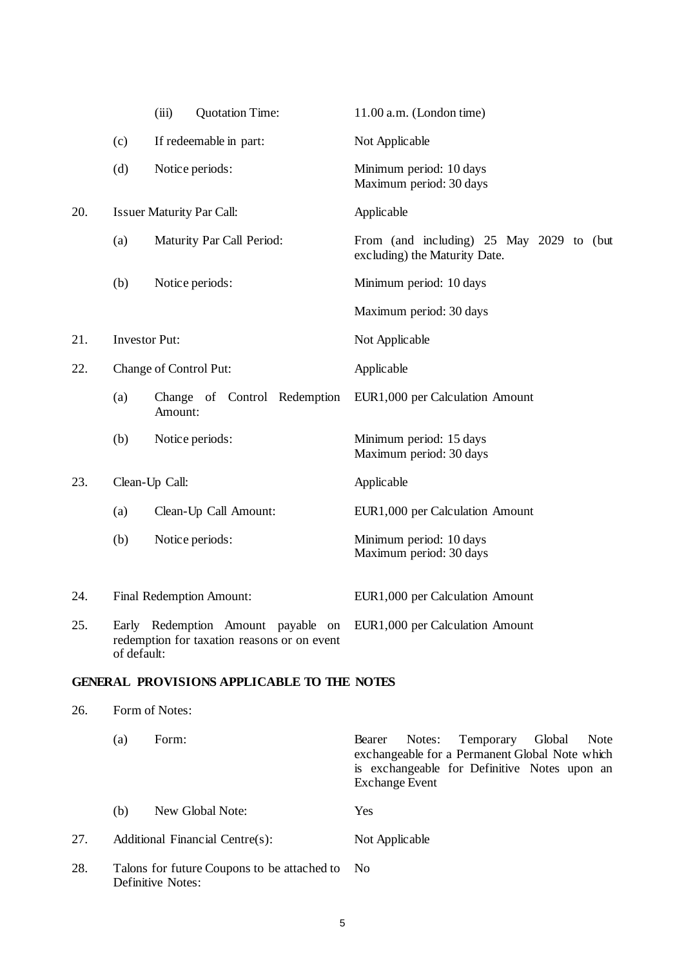|     |                      | (iii)                                                                                                                            | <b>Quotation Time:</b>                            | $11.00$ a.m. (London time)                                                                                                                                                        |
|-----|----------------------|----------------------------------------------------------------------------------------------------------------------------------|---------------------------------------------------|-----------------------------------------------------------------------------------------------------------------------------------------------------------------------------------|
|     | (c)                  |                                                                                                                                  | If redeemable in part:                            | Not Applicable                                                                                                                                                                    |
|     | (d)                  |                                                                                                                                  | Notice periods:                                   | Minimum period: 10 days<br>Maximum period: 30 days                                                                                                                                |
| 20. |                      |                                                                                                                                  | <b>Issuer Maturity Par Call:</b>                  | Applicable                                                                                                                                                                        |
|     | (a)                  |                                                                                                                                  | Maturity Par Call Period:                         | From (and including) 25 May 2029 to (but<br>excluding) the Maturity Date.                                                                                                         |
|     | (b)                  |                                                                                                                                  | Notice periods:                                   | Minimum period: 10 days                                                                                                                                                           |
|     |                      |                                                                                                                                  |                                                   | Maximum period: 30 days                                                                                                                                                           |
| 21. | <b>Investor Put:</b> |                                                                                                                                  |                                                   | Not Applicable                                                                                                                                                                    |
| 22. |                      | Change of Control Put:                                                                                                           |                                                   | Applicable                                                                                                                                                                        |
|     | (a)                  | Amount:                                                                                                                          | Change of Control Redemption                      | EUR1,000 per Calculation Amount                                                                                                                                                   |
|     | (b)                  |                                                                                                                                  | Notice periods:                                   | Minimum period: 15 days<br>Maximum period: 30 days                                                                                                                                |
| 23. | Clean-Up Call:       |                                                                                                                                  |                                                   | Applicable                                                                                                                                                                        |
|     | (a)                  |                                                                                                                                  | Clean-Up Call Amount:                             | EUR1,000 per Calculation Amount                                                                                                                                                   |
|     | (b)                  |                                                                                                                                  | Notice periods:                                   | Minimum period: 10 days<br>Maximum period: 30 days                                                                                                                                |
| 24. |                      |                                                                                                                                  | Final Redemption Amount:                          | EUR1,000 per Calculation Amount                                                                                                                                                   |
| 25. |                      | Early Redemption Amount payable on EUR1,000 per Calculation Amount<br>redemption for taxation reasons or on event<br>of default: |                                                   |                                                                                                                                                                                   |
|     |                      |                                                                                                                                  | <b>GENERAL PROVISIONS APPLICABLE TO THE NOTES</b> |                                                                                                                                                                                   |
| 26. |                      | Form of Notes:                                                                                                                   |                                                   |                                                                                                                                                                                   |
|     | (a)                  | Form:                                                                                                                            |                                                   | Notes:<br>Temporary<br>Global<br>Bearer<br><b>Note</b><br>exchangeable for a Permanent Global Note which<br>is exchangeable for Definitive Notes upon an<br><b>Exchange Event</b> |
|     | (b)                  |                                                                                                                                  | New Global Note:                                  | Yes                                                                                                                                                                               |

27. Additional Financial Centre(s): Not Applicable

28. Talons for future Coupons to be attached to Definitive Notes: No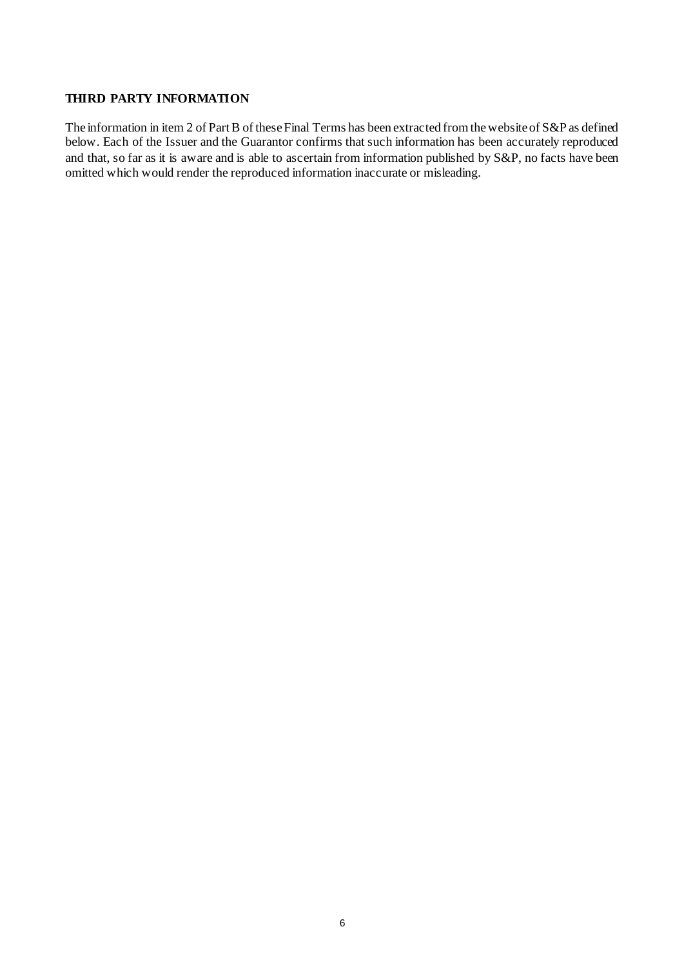### **THIRD PARTY INFORMATION**

The information in item 2 of Part B of these Final Terms has been extracted from the website of S&P as defined below. Each of the Issuer and the Guarantor confirms that such information has been accurately reproduced and that, so far as it is aware and is able to ascertain from information published by S&P, no facts have been omitted which would render the reproduced information inaccurate or misleading.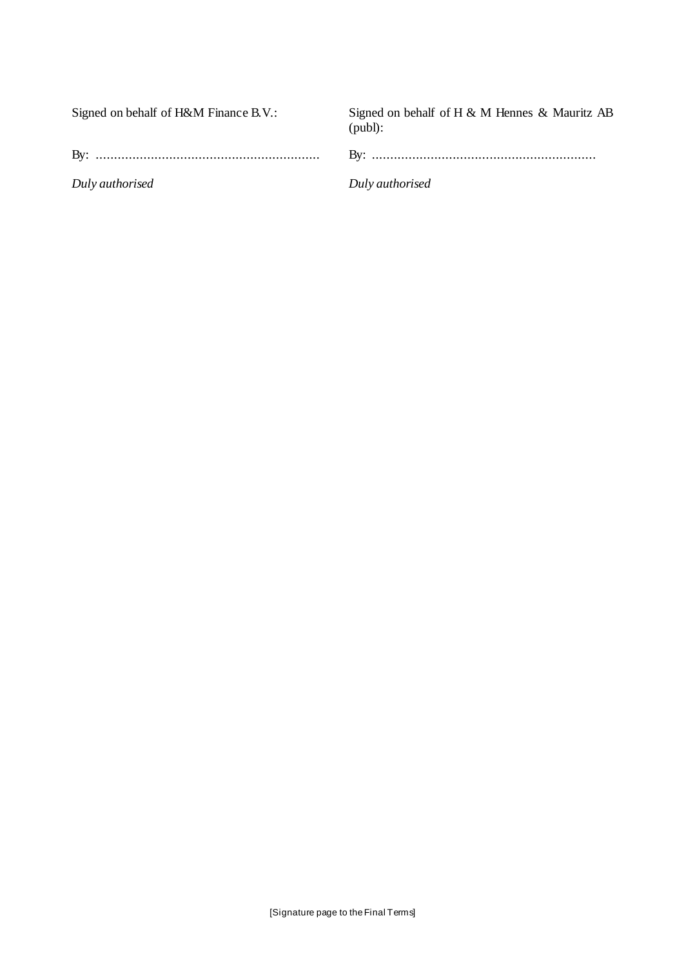| Signed on behalf of H&M Finance B.V.: | Signed on behalf of H & M Hennes & Mauritz AB<br>$(pub!)$ : |
|---------------------------------------|-------------------------------------------------------------|
|                                       |                                                             |
| Duly authorised                       | Duly authorised                                             |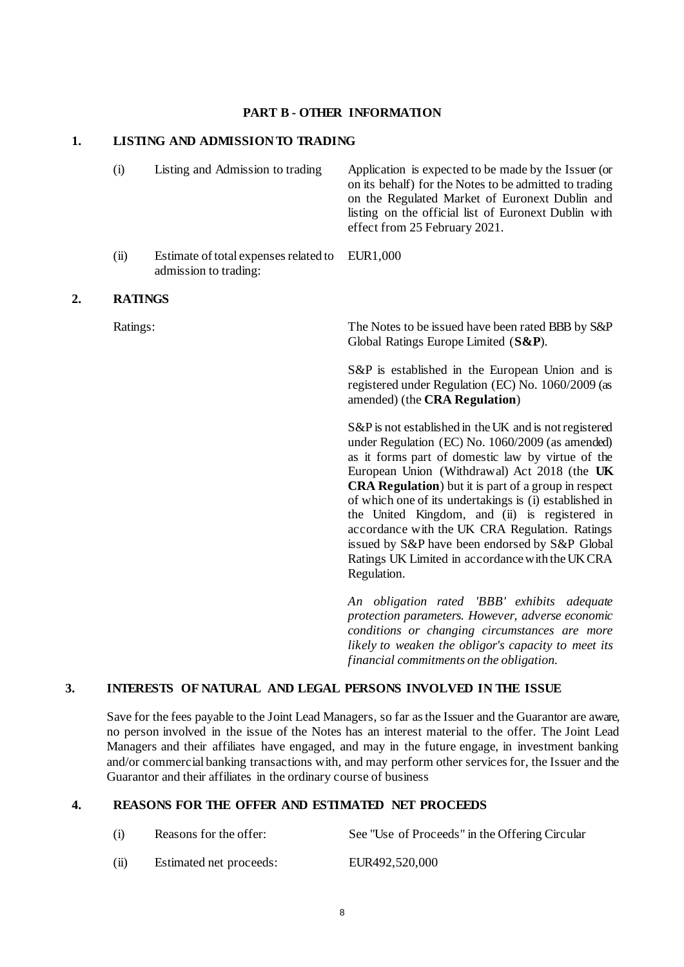#### **PART B - OTHER INFORMATION**

# **1. LISTING AND ADMISSION TO TRADING**

|    | (i)            | Listing and Admission to trading                               | Application is expected to be made by the Issuer (or<br>on its behalf) for the Notes to be admitted to trading<br>on the Regulated Market of Euronext Dublin and<br>listing on the official list of Euronext Dublin with<br>effect from 25 February 2021.                                                                                                                                                                                                                                                                                                         |
|----|----------------|----------------------------------------------------------------|-------------------------------------------------------------------------------------------------------------------------------------------------------------------------------------------------------------------------------------------------------------------------------------------------------------------------------------------------------------------------------------------------------------------------------------------------------------------------------------------------------------------------------------------------------------------|
|    | (ii)           | Estimate of total expenses related to<br>admission to trading: | EUR1,000                                                                                                                                                                                                                                                                                                                                                                                                                                                                                                                                                          |
| 2. | <b>RATINGS</b> |                                                                |                                                                                                                                                                                                                                                                                                                                                                                                                                                                                                                                                                   |
|    | Ratings:       |                                                                | The Notes to be issued have been rated BBB by S&P<br>Global Ratings Europe Limited (S&P).                                                                                                                                                                                                                                                                                                                                                                                                                                                                         |
|    |                |                                                                | S&P is established in the European Union and is<br>registered under Regulation (EC) No. 1060/2009 (as<br>amended) (the CRA Regulation)                                                                                                                                                                                                                                                                                                                                                                                                                            |
|    |                |                                                                | S&P is not established in the UK and is not registered<br>under Regulation (EC) No. 1060/2009 (as amended)<br>as it forms part of domestic law by virtue of the<br>European Union (Withdrawal) Act 2018 (the UK<br><b>CRA Regulation</b> ) but it is part of a group in respect<br>of which one of its undertakings is (i) established in<br>the United Kingdom, and (ii) is registered in<br>accordance with the UK CRA Regulation. Ratings<br>issued by S&P have been endorsed by S&P Global<br>Ratings UK Limited in accordance with the UK CRA<br>Regulation. |
|    |                |                                                                | An obligation rated 'BBB' exhibits adequate<br>protection parameters. However, adverse economic<br>conditions or changing circumstances are more<br>likely to weaken the obligor's capacity to meet its                                                                                                                                                                                                                                                                                                                                                           |

# **3. INTERESTS OF NATURAL AND LEGAL PERSONS INVOLVED IN THE ISSUE**

Save for the fees payable to the Joint Lead Managers, so far as the Issuer and the Guarantor are aware, no person involved in the issue of the Notes has an interest material to the offer. The Joint Lead Managers and their affiliates have engaged, and may in the future engage, in investment banking and/or commercial banking transactions with, and may perform other services for, the Issuer and the Guarantor and their affiliates in the ordinary course of business

*financial commitments on the obligation.*

# **4. REASONS FOR THE OFFER AND ESTIMATED NET PROCEEDS**

| (i)  | Reasons for the offer:  | See "Use of Proceeds" in the Offering Circular |
|------|-------------------------|------------------------------------------------|
| (ii) | Estimated net proceeds: | EUR492,520,000                                 |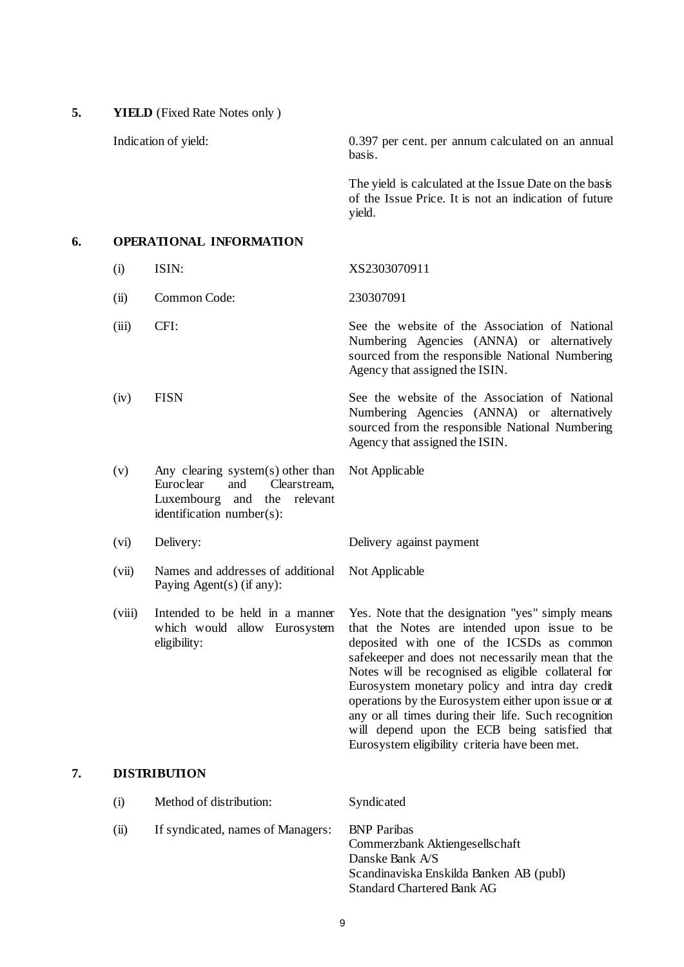**5. YIELD** (Fixed Rate Notes only )

Indication of yield: 0.397 per cent. per annum calculated on an annual basis.

> The yield is calculated at the Issue Date on the basis of the Issue Price. It is not an indication of future yield.

# **6. OPERATIONAL INFORMATION**

(i) ISIN: XS2303070911 (ii) Common Code: 230307091 (iii) CFI: See the website of the Association of National Numbering Agencies (ANNA) or alternatively sourced from the responsible National Numbering Agency that assigned the ISIN. (iv) FISN See the website of the Association of National Numbering Agencies (ANNA) or alternatively sourced from the responsible National Numbering

Not Applicable

Not Applicable

Agency that assigned the ISIN.

- (v) Any clearing system(s) other than<br>Euroclear and Clearstream, Clearstream, Luxembourg and the relevant identification number(s):
- (vi) Delivery: Delivery against payment
- (vii) Names and addresses of additional Paying Agent(s) (if any):
- (viii) Intended to be held in a manner which would allow Eurosystem eligibility:

Yes. Note that the designation "yes" simply means that the Notes are intended upon issue to be deposited with one of the ICSDs as common safekeeper and does not necessarily mean that the Notes will be recognised as eligible collateral for Eurosystem monetary policy and intra day credit operations by the Eurosystem either upon issue or at any or all times during their life. Such recognition will depend upon the ECB being satisfied that Eurosystem eligibility criteria have been met.

# **7. DISTRIBUTION**

| (i)  | Method of distribution:           | <b>Syndicated</b>                                                                                                                                       |
|------|-----------------------------------|---------------------------------------------------------------------------------------------------------------------------------------------------------|
| (ii) | If syndicated, names of Managers: | <b>BNP</b> Paribas<br>Commerzbank Aktiengesellschaft<br>Danske Bank A/S<br>Scandinaviska Enskilda Banken AB (publ)<br><b>Standard Chartered Bank AG</b> |